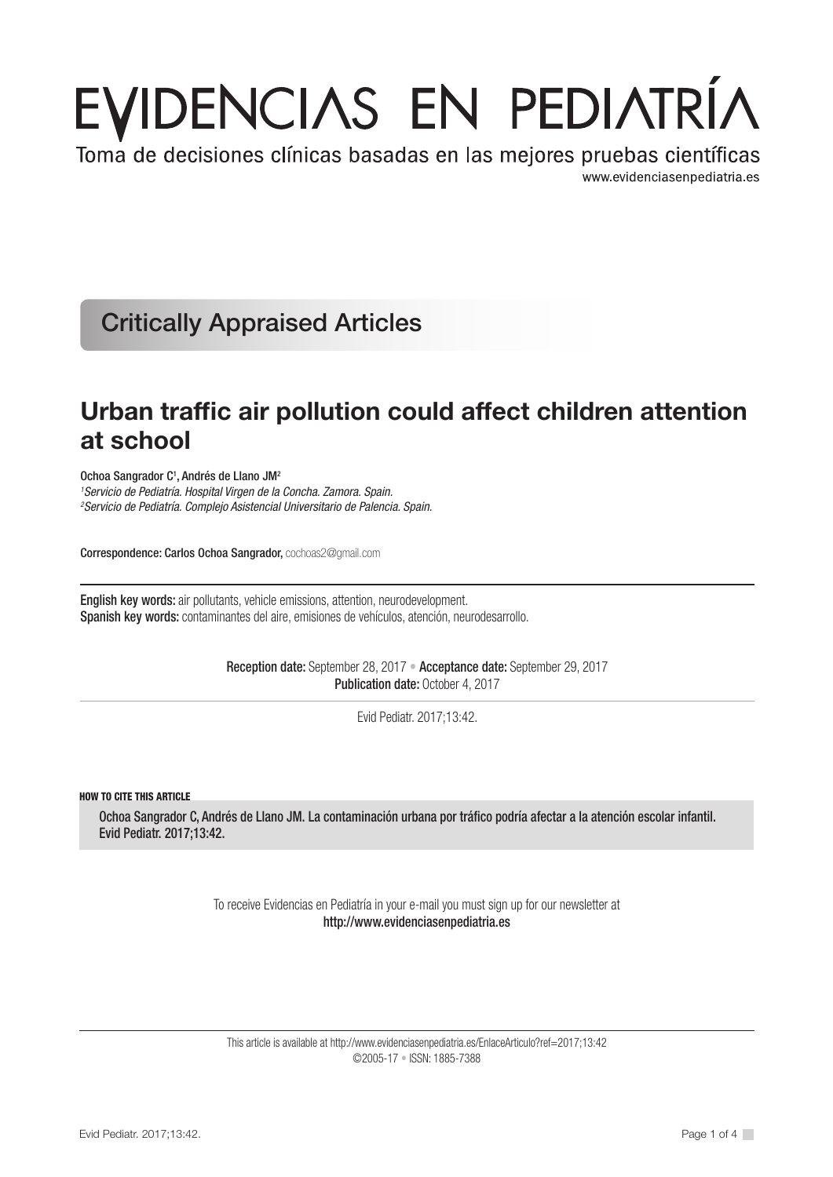# EVIDENCIAS EN PEDIATRÍA

Toma de decisiones clínicas basadas en las mejores pruebas científicas www.evidenciasenpediatria.es

Critically Appraised Articles

# Urban traffic air pollution could affect children attention at school

Ochoa Sangrador C<sup>1</sup>, Andrés de Llano JM<sup>2</sup>

*1 Servicio de Pediatría. Hospital Virgen de la Concha. Zamora. Spain. 2 Servicio de Pediatría. Complejo Asistencial Universitario de Palencia. Spain.* 

Correspondence: Carlos Ochoa Sangrador, cochoas2@gmail.com

English key words: air pollutants, vehicle emissions, attention, neurodevelopment. Spanish key words: contaminantes del aire, emisiones de vehículos, atención, neurodesarrollo.

> Reception date: September 28, 2017 • Acceptance date: September 29, 2017 Publication date: October 4, 2017

> > Evid Pediatr. 2017;13:42.

HOW TO CITE THIS ARTICLE

Ochoa Sangrador C, Andrés de Llano JM. La contaminación urbana por tráfico podría afectar a la atención escolar infantil. Evid Pediatr. 2017;13:42.

> To receive Evidencias en Pediatría in your e-mail you must sign up for our newsletter at http://www.evidenciasenpediatria.es

This article is available at http://www.evidenciasenpediatria.es/EnlaceArticulo?ref=2017;13:42 ©2005-17 • ISSN: 1885-7388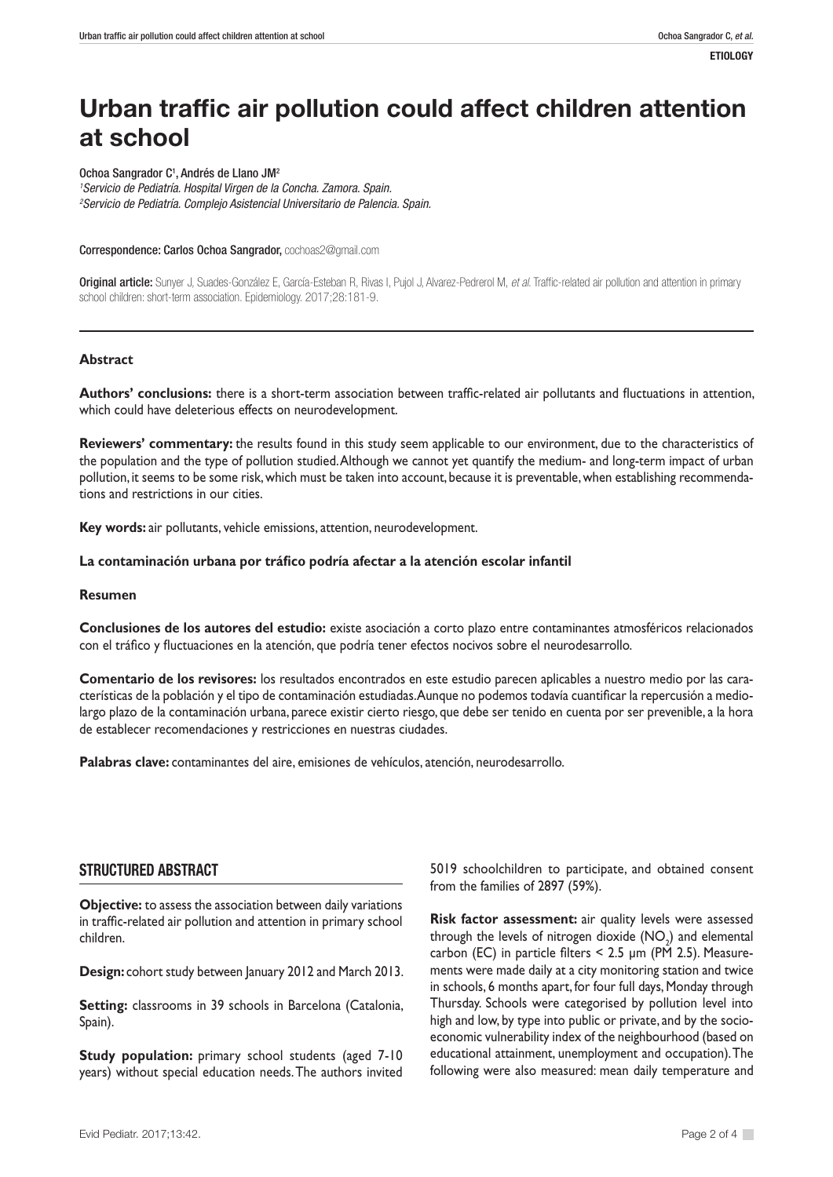# Urban traffic air pollution could affect children attention at school

Ochoa Sangrador C<sup>1</sup>, Andrés de Llano JM<sup>2</sup> *1 Servicio de Pediatría. Hospital Virgen de la Concha. Zamora. Spain. 2 Servicio de Pediatría. Complejo Asistencial Universitario de Palencia. Spain.* 

Correspondence: Carlos Ochoa Sangrador, cochoas2@gmail.com

Original article: Sunyer J, Suades-González E, García-Esteban R, Rivas I, Pujol J, Alvarez-Pedrerol M, *et al*. Traffic-related air pollution and attention in primary school children: short-term association. Epidemiology. 2017;28:181-9.

#### **Abstract**

**Authors' conclusions:** there is a short-term association between traffic-related air pollutants and fluctuations in attention, which could have deleterious effects on neurodevelopment.

**Reviewers' commentary:** the results found in this study seem applicable to our environment, due to the characteristics of the population and the type of pollution studied. Although we cannot yet quantify the medium- and long-term impact of urban pollution, it seems to be some risk, which must be taken into account, because it is preventable, when establishing recommendations and restrictions in our cities.

**Key words:** air pollutants, vehicle emissions, attention, neurodevelopment.

#### **La contaminación urbana por tráfico podría afectar a la atención escolar infantil**

#### **Resumen**

**Conclusiones de los autores del estudio:** existe asociación a corto plazo entre contaminantes atmosféricos relacionados con el tráfico y fluctuaciones en la atención, que podría tener efectos nocivos sobre el neurodesarrollo.

**Comentario de los revisores:** los resultados encontrados en este estudio parecen aplicables a nuestro medio por las características de la población y el tipo de contaminación estudiadas. Aunque no podemos todavía cuantificar la repercusión a mediolargo plazo de la contaminación urbana, parece existir cierto riesgo, que debe ser tenido en cuenta por ser prevenible, a la hora de establecer recomendaciones y restricciones en nuestras ciudades.

**Palabras clave:** contaminantes del aire, emisiones de vehículos, atención, neurodesarrollo.

### STRUCTURED ABSTRACT

**Objective:** to assess the association between daily variations in traffic-related air pollution and attention in primary school children.

**Design:** cohort study between January 2012 and March 2013.

**Setting:** classrooms in 39 schools in Barcelona (Catalonia, Spain).

**Study population:** primary school students (aged 7-10 years) without special education needs. The authors invited 5019 schoolchildren to participate, and obtained consent from the families of 2897 (59%).

**Risk factor assessment:** air quality levels were assessed through the levels of nitrogen dioxide  $(\mathsf{NO}_2)$  and elemental carbon (EC) in particle filters < 2.5 μm (PM 2.5). Measurements were made daily at a city monitoring station and twice in schools, 6 months apart, for four full days, Monday through Thursday. Schools were categorised by pollution level into high and low, by type into public or private, and by the socioeconomic vulnerability index of the neighbourhood (based on educational attainment, unemployment and occupation). The following were also measured: mean daily temperature and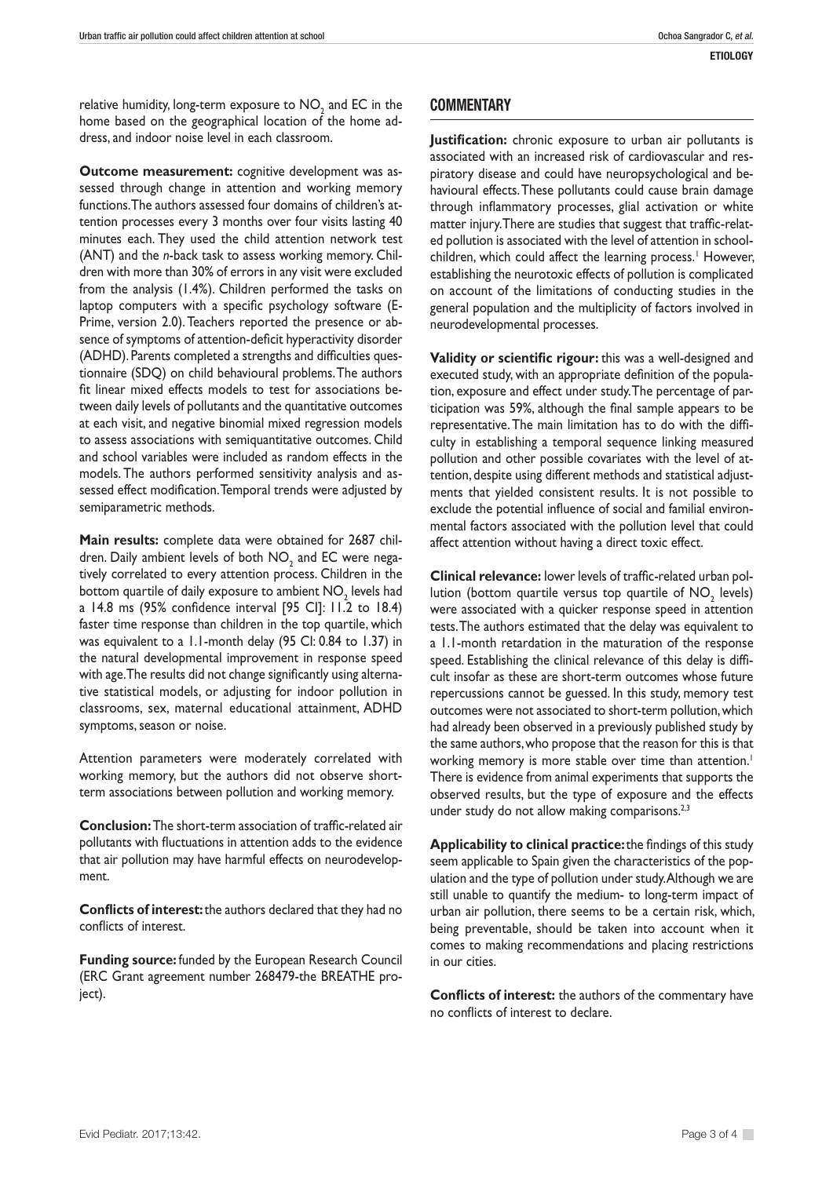relative humidity, long-term exposure to  $\mathsf{NO}_{_2}$  and EC in the home based on the geographical location of the home address, and indoor noise level in each classroom.

**Outcome measurement:** cognitive development was assessed through change in attention and working memory functions. The authors assessed four domains of children's attention processes every 3 months over four visits lasting 40 minutes each. They used the child attention network test (ANT) and the *n*-back task to assess working memory. Children with more than 30% of errors in any visit were excluded from the analysis (1.4%). Children performed the tasks on laptop computers with a specific psychology software (E-Prime, version 2.0). Teachers reported the presence or absence of symptoms of attention-deficit hyperactivity disorder (ADHD). Parents completed a strengths and difficulties questionnaire (SDQ) on child behavioural problems. The authors fit linear mixed effects models to test for associations between daily levels of pollutants and the quantitative outcomes at each visit, and negative binomial mixed regression models to assess associations with semiquantitative outcomes. Child and school variables were included as random effects in the models. The authors performed sensitivity analysis and assessed effect modification. Temporal trends were adjusted by semiparametric methods.

**Main results:** complete data were obtained for 2687 children. Daily ambient levels of both  $\mathsf{NO}_2^{}$  and EC were negatively correlated to every attention process. Children in the bottom quartile of daily exposure to ambient  $\mathsf{NO}_{_2}$  levels had a 14.8 ms (95% confidence interval [95 CI]: 11.2 to 18.4) faster time response than children in the top quartile, which was equivalent to a 1.1-month delay (95 CI: 0.84 to 1.37) in the natural developmental improvement in response speed with age. The results did not change significantly using alternative statistical models, or adjusting for indoor pollution in classrooms, sex, maternal educational attainment, ADHD symptoms, season or noise.

Attention parameters were moderately correlated with working memory, but the authors did not observe shortterm associations between pollution and working memory.

**Conclusion:** The short-term association of traffic-related air pollutants with fluctuations in attention adds to the evidence that air pollution may have harmful effects on neurodevelopment.

**Conflicts of interest:** the authors declared that they had no conflicts of interest.

**Funding source:** funded by the European Research Council (ERC Grant agreement number 268479-the BREATHE project).

## **COMMENTARY**

**Justification:** chronic exposure to urban air pollutants is associated with an increased risk of cardiovascular and respiratory disease and could have neuropsychological and behavioural effects. These pollutants could cause brain damage through inflammatory processes, glial activation or white matter injury. There are studies that suggest that traffic-related pollution is associated with the level of attention in schoolchildren, which could affect the learning process.<sup>1</sup> However, establishing the neurotoxic effects of pollution is complicated on account of the limitations of conducting studies in the general population and the multiplicity of factors involved in neurodevelopmental processes.

**Validity or scientific rigour:** this was a well-designed and executed study, with an appropriate definition of the population, exposure and effect under study. The percentage of participation was 59%, although the final sample appears to be representative. The main limitation has to do with the difficulty in establishing a temporal sequence linking measured pollution and other possible covariates with the level of attention, despite using different methods and statistical adjustments that yielded consistent results. It is not possible to exclude the potential influence of social and familial environmental factors associated with the pollution level that could affect attention without having a direct toxic effect.

**Clinical relevance:** lower levels of traffic-related urban pollution (bottom quartile versus top quartile of  $\mathsf{NO}_{2}^{\phantom{\dag}}$  levels) were associated with a quicker response speed in attention tests. The authors estimated that the delay was equivalent to a 1.1-month retardation in the maturation of the response speed. Establishing the clinical relevance of this delay is difficult insofar as these are short-term outcomes whose future repercussions cannot be guessed. In this study, memory test outcomes were not associated to short-term pollution, which had already been observed in a previously published study by the same authors, who propose that the reason for this is that working memory is more stable over time than attention.<sup>1</sup> There is evidence from animal experiments that supports the observed results, but the type of exposure and the effects under study do not allow making comparisons.<sup>2,3</sup>

**Applicability to clinical practice:** the findings of this study seem applicable to Spain given the characteristics of the population and the type of pollution under study. Although we are still unable to quantify the medium- to long-term impact of urban air pollution, there seems to be a certain risk, which, being preventable, should be taken into account when it comes to making recommendations and placing restrictions in our cities.

**Conflicts of interest:** the authors of the commentary have no conflicts of interest to declare.